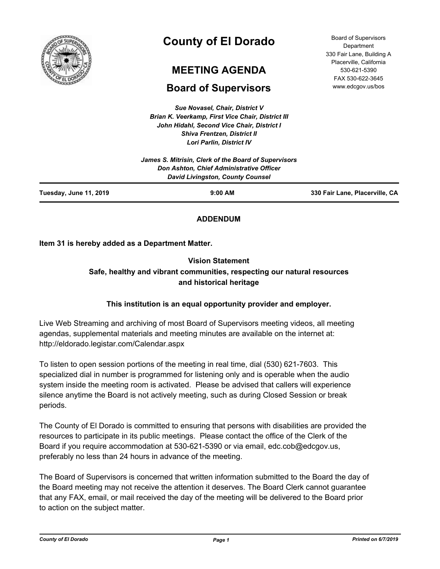

# **County of El Dorado**

# **MEETING AGENDA**

# **Board of Supervisors**

*Sue Novasel, Chair, District V Brian K. Veerkamp, First Vice Chair, District III John Hidahl, Second Vice Chair, District I Shiva Frentzen, District II Lori Parlin, District IV*

Board of Supervisors **Department** 330 Fair Lane, Building A Placerville, California 530-621-5390 FAX 530-622-3645 www.edcgov.us/bos

|                        | James S. Mitrisin, Clerk of the Board of Supervisors<br>Don Ashton, Chief Administrative Officer<br><b>David Livingston, County Counsel</b> |                                |
|------------------------|---------------------------------------------------------------------------------------------------------------------------------------------|--------------------------------|
| Tuesday, June 11, 2019 | $9:00$ AM                                                                                                                                   | 330 Fair Lane, Placerville, CA |

# **ADDENDUM**

# **Item 31 is hereby added as a Department Matter.**

# **Vision Statement Safe, healthy and vibrant communities, respecting our natural resources and historical heritage**

# **This institution is an equal opportunity provider and employer.**

Live Web Streaming and archiving of most Board of Supervisors meeting videos, all meeting agendas, supplemental materials and meeting minutes are available on the internet at: http://eldorado.legistar.com/Calendar.aspx

To listen to open session portions of the meeting in real time, dial (530) 621-7603. This specialized dial in number is programmed for listening only and is operable when the audio system inside the meeting room is activated. Please be advised that callers will experience silence anytime the Board is not actively meeting, such as during Closed Session or break periods.

The County of El Dorado is committed to ensuring that persons with disabilities are provided the resources to participate in its public meetings. Please contact the office of the Clerk of the Board if you require accommodation at 530-621-5390 or via email, edc.cob@edcgov.us, preferably no less than 24 hours in advance of the meeting.

The Board of Supervisors is concerned that written information submitted to the Board the day of the Board meeting may not receive the attention it deserves. The Board Clerk cannot guarantee that any FAX, email, or mail received the day of the meeting will be delivered to the Board prior to action on the subject matter.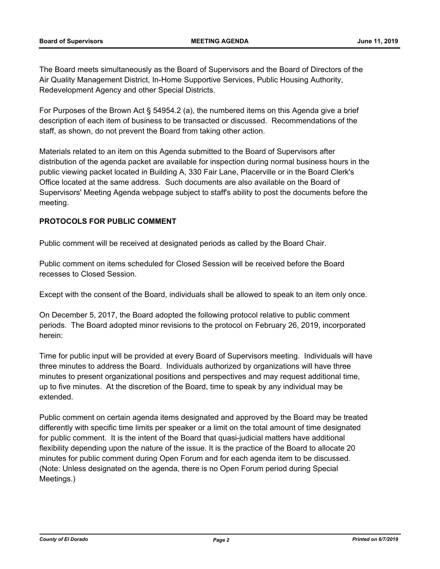The Board meets simultaneously as the Board of Supervisors and the Board of Directors of the Air Quality Management District, In-Home Supportive Services, Public Housing Authority, Redevelopment Agency and other Special Districts.

For Purposes of the Brown Act § 54954.2 (a), the numbered items on this Agenda give a brief description of each item of business to be transacted or discussed. Recommendations of the staff, as shown, do not prevent the Board from taking other action.

Materials related to an item on this Agenda submitted to the Board of Supervisors after distribution of the agenda packet are available for inspection during normal business hours in the public viewing packet located in Building A, 330 Fair Lane, Placerville or in the Board Clerk's Office located at the same address. Such documents are also available on the Board of Supervisors' Meeting Agenda webpage subject to staff's ability to post the documents before the meeting.

# **PROTOCOLS FOR PUBLIC COMMENT**

Public comment will be received at designated periods as called by the Board Chair.

Public comment on items scheduled for Closed Session will be received before the Board recesses to Closed Session.

Except with the consent of the Board, individuals shall be allowed to speak to an item only once.

On December 5, 2017, the Board adopted the following protocol relative to public comment periods. The Board adopted minor revisions to the protocol on February 26, 2019, incorporated herein:

Time for public input will be provided at every Board of Supervisors meeting. Individuals will have three minutes to address the Board. Individuals authorized by organizations will have three minutes to present organizational positions and perspectives and may request additional time, up to five minutes. At the discretion of the Board, time to speak by any individual may be extended.

Public comment on certain agenda items designated and approved by the Board may be treated differently with specific time limits per speaker or a limit on the total amount of time designated for public comment. It is the intent of the Board that quasi-judicial matters have additional flexibility depending upon the nature of the issue. It is the practice of the Board to allocate 20 minutes for public comment during Open Forum and for each agenda item to be discussed. (Note: Unless designated on the agenda, there is no Open Forum period during Special Meetings.)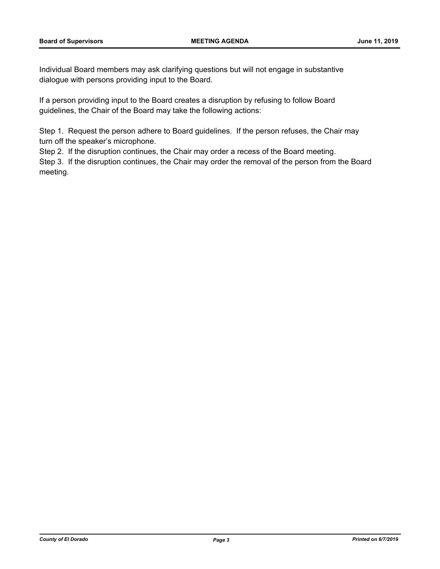Individual Board members may ask clarifying questions but will not engage in substantive dialogue with persons providing input to the Board.

If a person providing input to the Board creates a disruption by refusing to follow Board guidelines, the Chair of the Board may take the following actions:

Step 1. Request the person adhere to Board guidelines. If the person refuses, the Chair may turn off the speaker's microphone.

Step 2. If the disruption continues, the Chair may order a recess of the Board meeting.

Step 3. If the disruption continues, the Chair may order the removal of the person from the Board meeting.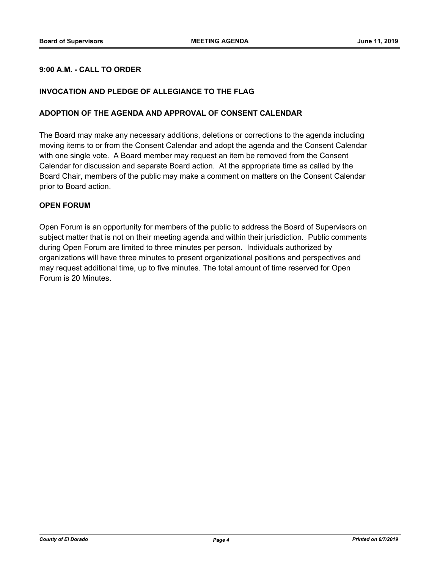# **9:00 A.M. - CALL TO ORDER**

# **INVOCATION AND PLEDGE OF ALLEGIANCE TO THE FLAG**

#### **ADOPTION OF THE AGENDA AND APPROVAL OF CONSENT CALENDAR**

The Board may make any necessary additions, deletions or corrections to the agenda including moving items to or from the Consent Calendar and adopt the agenda and the Consent Calendar with one single vote. A Board member may request an item be removed from the Consent Calendar for discussion and separate Board action. At the appropriate time as called by the Board Chair, members of the public may make a comment on matters on the Consent Calendar prior to Board action.

### **OPEN FORUM**

Open Forum is an opportunity for members of the public to address the Board of Supervisors on subject matter that is not on their meeting agenda and within their jurisdiction. Public comments during Open Forum are limited to three minutes per person. Individuals authorized by organizations will have three minutes to present organizational positions and perspectives and may request additional time, up to five minutes. The total amount of time reserved for Open Forum is 20 Minutes.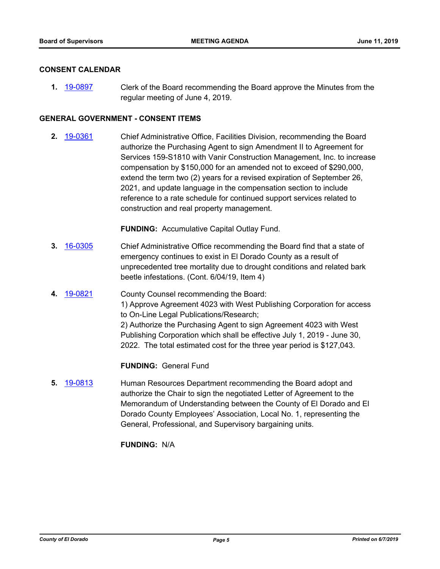#### **CONSENT CALENDAR**

**1.** [19-0897](http://eldorado.legistar.com/gateway.aspx?m=l&id=/matter.aspx?key=26220) Clerk of the Board recommending the Board approve the Minutes from the regular meeting of June 4, 2019.

# **GENERAL GOVERNMENT - CONSENT ITEMS**

**2.** [19-0361](http://eldorado.legistar.com/gateway.aspx?m=l&id=/matter.aspx?key=25682) Chief Administrative Office, Facilities Division, recommending the Board authorize the Purchasing Agent to sign Amendment II to Agreement for Services 159-S1810 with Vanir Construction Management, Inc. to increase compensation by \$150,000 for an amended not to exceed of \$290,000, extend the term two (2) years for a revised expiration of September 26, 2021, and update language in the compensation section to include reference to a rate schedule for continued support services related to construction and real property management.

**FUNDING:** Accumulative Capital Outlay Fund.

- **3.** [16-0305](http://eldorado.legistar.com/gateway.aspx?m=l&id=/matter.aspx?key=20961) Chief Administrative Office recommending the Board find that a state of emergency continues to exist in El Dorado County as a result of unprecedented tree mortality due to drought conditions and related bark beetle infestations. (Cont. 6/04/19, Item 4)
- **4.** [19-0821](http://eldorado.legistar.com/gateway.aspx?m=l&id=/matter.aspx?key=26144) County Counsel recommending the Board: 1) Approve Agreement 4023 with West Publishing Corporation for access to On-Line Legal Publications/Research; 2) Authorize the Purchasing Agent to sign Agreement 4023 with West Publishing Corporation which shall be effective July 1, 2019 - June 30, 2022. The total estimated cost for the three year period is \$127,043.

**FUNDING:** General Fund

**5.** [19-0813](http://eldorado.legistar.com/gateway.aspx?m=l&id=/matter.aspx?key=26136) Human Resources Department recommending the Board adopt and authorize the Chair to sign the negotiated Letter of Agreement to the Memorandum of Understanding between the County of El Dorado and El Dorado County Employees' Association, Local No. 1, representing the General, Professional, and Supervisory bargaining units.

**FUNDING:** N/A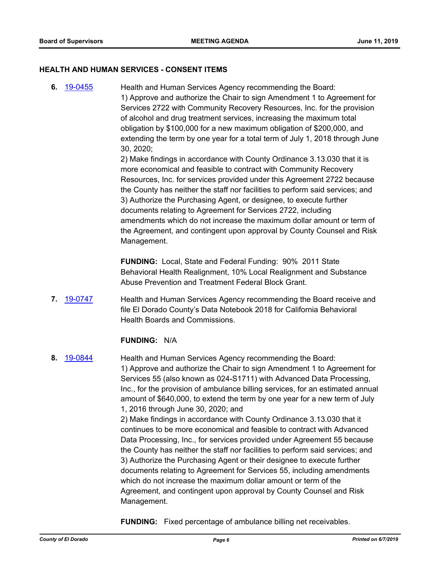#### **HEALTH AND HUMAN SERVICES - CONSENT ITEMS**

**6.** [19-0455](http://eldorado.legistar.com/gateway.aspx?m=l&id=/matter.aspx?key=25776) Health and Human Services Agency recommending the Board: 1) Approve and authorize the Chair to sign Amendment 1 to Agreement for Services 2722 with Community Recovery Resources, Inc. for the provision of alcohol and drug treatment services, increasing the maximum total obligation by \$100,000 for a new maximum obligation of \$200,000, and extending the term by one year for a total term of July 1, 2018 through June 30, 2020;

> 2) Make findings in accordance with County Ordinance 3.13.030 that it is more economical and feasible to contract with Community Recovery Resources, Inc. for services provided under this Agreement 2722 because the County has neither the staff nor facilities to perform said services; and 3) Authorize the Purchasing Agent, or designee, to execute further documents relating to Agreement for Services 2722, including amendments which do not increase the maximum dollar amount or term of the Agreement, and contingent upon approval by County Counsel and Risk Management.

**FUNDING:** Local, State and Federal Funding: 90% 2011 State Behavioral Health Realignment, 10% Local Realignment and Substance Abuse Prevention and Treatment Federal Block Grant.

**7.** [19-0747](http://eldorado.legistar.com/gateway.aspx?m=l&id=/matter.aspx?key=26069) **Health and Human Services Agency recommending the Board receive and** file El Dorado County's Data Notebook 2018 for California Behavioral Health Boards and Commissions.

#### **FUNDING:** N/A

**8.** [19-0844](http://eldorado.legistar.com/gateway.aspx?m=l&id=/matter.aspx?key=26167) **Health and Human Services Agency recommending the Board:** 1) Approve and authorize the Chair to sign Amendment 1 to Agreement for Services 55 (also known as 024-S1711) with Advanced Data Processing, Inc., for the provision of ambulance billing services, for an estimated annual amount of \$640,000, to extend the term by one year for a new term of July 1, 2016 through June 30, 2020; and 2) Make findings in accordance with County Ordinance 3.13.030 that it continues to be more economical and feasible to contract with Advanced Data Processing, Inc., for services provided under Agreement 55 because the County has neither the staff nor facilities to perform said services; and 3) Authorize the Purchasing Agent or their designee to execute further documents relating to Agreement for Services 55, including amendments which do not increase the maximum dollar amount or term of the Agreement, and contingent upon approval by County Counsel and Risk Management.

**FUNDING:** Fixed percentage of ambulance billing net receivables.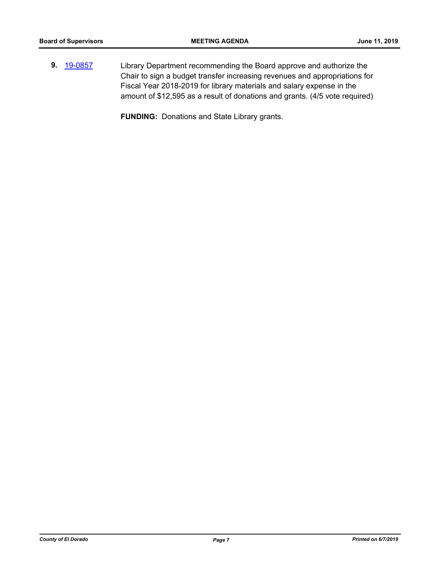**9.** [19-0857](http://eldorado.legistar.com/gateway.aspx?m=l&id=/matter.aspx?key=26180) Library Department recommending the Board approve and authorize the Chair to sign a budget transfer increasing revenues and appropriations for Fiscal Year 2018-2019 for library materials and salary expense in the amount of \$12,595 as a result of donations and grants. (4/5 vote required)

**FUNDING:** Donations and State Library grants.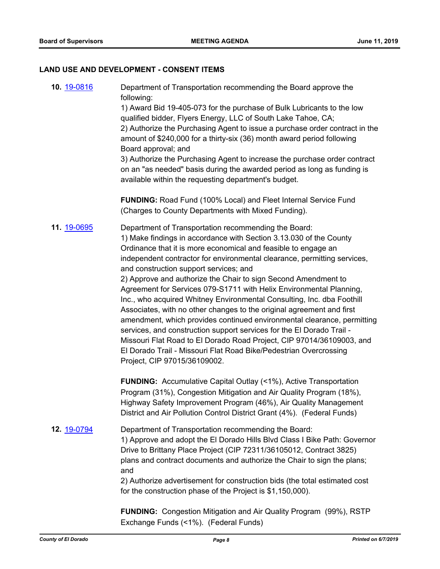#### **LAND USE AND DEVELOPMENT - CONSENT ITEMS**

**10.** [19-0816](http://eldorado.legistar.com/gateway.aspx?m=l&id=/matter.aspx?key=26139) Department of Transportation recommending the Board approve the following: 1) Award Bid 19-405-073 for the purchase of Bulk Lubricants to the low qualified bidder, Flyers Energy, LLC of South Lake Tahoe, CA; 2) Authorize the Purchasing Agent to issue a purchase order contract in the amount of \$240,000 for a thirty-six (36) month award period following Board approval; and 3) Authorize the Purchasing Agent to increase the purchase order contract on an "as needed" basis during the awarded period as long as funding is available within the requesting department's budget. **FUNDING:** Road Fund (100% Local) and Fleet Internal Service Fund (Charges to County Departments with Mixed Funding). **11.** [19-0695](http://eldorado.legistar.com/gateway.aspx?m=l&id=/matter.aspx?key=26017) Department of Transportation recommending the Board: 1) Make findings in accordance with Section 3.13.030 of the County Ordinance that it is more economical and feasible to engage an independent contractor for environmental clearance, permitting services, and construction support services; and 2) Approve and authorize the Chair to sign Second Amendment to Agreement for Services 079-S1711 with Helix Environmental Planning, Inc., who acquired Whitney Environmental Consulting, Inc. dba Foothill Associates, with no other changes to the original agreement and first amendment, which provides continued environmental clearance, permitting services, and construction support services for the El Dorado Trail - Missouri Flat Road to El Dorado Road Project, CIP 97014/36109003, and El Dorado Trail - Missouri Flat Road Bike/Pedestrian Overcrossing Project, CIP 97015/36109002. **FUNDING:** Accumulative Capital Outlay (<1%), Active Transportation Program (31%), Congestion Mitigation and Air Quality Program (18%), Highway Safety Improvement Program (46%), Air Quality Management District and Air Pollution Control District Grant (4%). (Federal Funds) **12.** [19-0794](http://eldorado.legistar.com/gateway.aspx?m=l&id=/matter.aspx?key=26117) Department of Transportation recommending the Board: 1) Approve and adopt the El Dorado Hills Blvd Class I Bike Path: Governor Drive to Brittany Place Project (CIP 72311/36105012, Contract 3825) plans and contract documents and authorize the Chair to sign the plans; and 2) Authorize advertisement for construction bids (the total estimated cost for the construction phase of the Project is \$1,150,000). **FUNDING:** Congestion Mitigation and Air Quality Program (99%), RSTP Exchange Funds (<1%). (Federal Funds)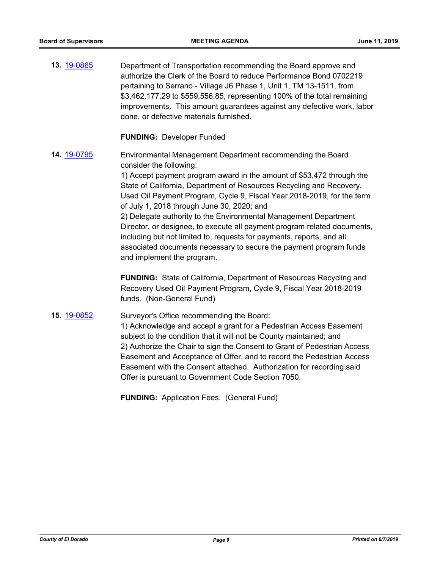**13.** [19-0865](http://eldorado.legistar.com/gateway.aspx?m=l&id=/matter.aspx?key=26188) Department of Transportation recommending the Board approve and authorize the Clerk of the Board to reduce Performance Bond 0702219 pertaining to Serrano - Village J6 Phase 1, Unit 1, TM 13-1511, from \$3,462,177.29 to \$559,556.85, representing 100% of the total remaining improvements. This amount guarantees against any defective work, labor done, or defective materials furnished.

**FUNDING:** Developer Funded

**14.** [19-0795](http://eldorado.legistar.com/gateway.aspx?m=l&id=/matter.aspx?key=26118) Environmental Management Department recommending the Board consider the following:

> 1) Accept payment program award in the amount of \$53,472 through the State of California, Department of Resources Recycling and Recovery, Used Oil Payment Program, Cycle 9, Fiscal Year 2018-2019, for the term of July 1, 2018 through June 30, 2020; and

> 2) Delegate authority to the Environmental Management Department Director, or designee, to execute all payment program related documents, including but not limited to, requests for payments, reports, and all associated documents necessary to secure the payment program funds and implement the program.

**FUNDING:** State of California, Department of Resources Recycling and Recovery Used Oil Payment Program, Cycle 9, Fiscal Year 2018-2019 funds. (Non-General Fund)

**15.** [19-0852](http://eldorado.legistar.com/gateway.aspx?m=l&id=/matter.aspx?key=26175) Surveyor's Office recommending the Board:

1) Acknowledge and accept a grant for a Pedestrian Access Easement subject to the condition that it will not be County maintained; and 2) Authorize the Chair to sign the Consent to Grant of Pedestrian Access Easement and Acceptance of Offer, and to record the Pedestrian Access Easement with the Consent attached. Authorization for recording said Offer is pursuant to Government Code Section 7050.

**FUNDING:** Application Fees. (General Fund)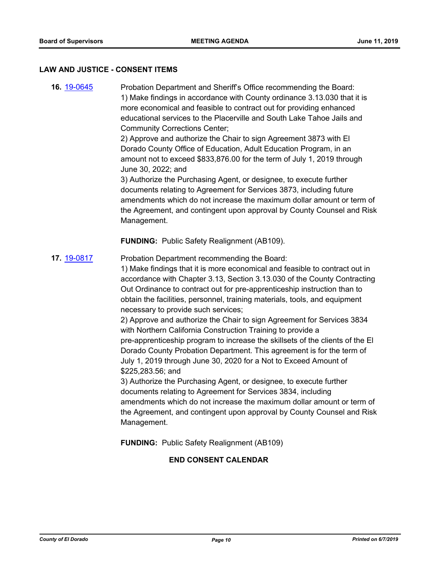#### **LAW AND JUSTICE - CONSENT ITEMS**

**16.** [19-0645](http://eldorado.legistar.com/gateway.aspx?m=l&id=/matter.aspx?key=25967) Probation Department and Sheriff's Office recommending the Board: 1) Make findings in accordance with County ordinance 3.13.030 that it is more economical and feasible to contract out for providing enhanced educational services to the Placerville and South Lake Tahoe Jails and Community Corrections Center;

> 2) Approve and authorize the Chair to sign Agreement 3873 with El Dorado County Office of Education, Adult Education Program, in an amount not to exceed \$833,876.00 for the term of July 1, 2019 through June 30, 2022; and

3) Authorize the Purchasing Agent, or designee, to execute further documents relating to Agreement for Services 3873, including future amendments which do not increase the maximum dollar amount or term of the Agreement, and contingent upon approval by County Counsel and Risk Management.

**FUNDING:** Public Safety Realignment (AB109).

**17.** [19-0817](http://eldorado.legistar.com/gateway.aspx?m=l&id=/matter.aspx?key=26140) Probation Department recommending the Board:

1) Make findings that it is more economical and feasible to contract out in accordance with Chapter 3.13, Section 3.13.030 of the County Contracting Out Ordinance to contract out for pre-apprenticeship instruction than to obtain the facilities, personnel, training materials, tools, and equipment necessary to provide such services;

2) Approve and authorize the Chair to sign Agreement for Services 3834 with Northern California Construction Training to provide a pre-apprenticeship program to increase the skillsets of the clients of the El Dorado County Probation Department. This agreement is for the term of July 1, 2019 through June 30, 2020 for a Not to Exceed Amount of \$225,283.56; and

3) Authorize the Purchasing Agent, or designee, to execute further documents relating to Agreement for Services 3834, including amendments which do not increase the maximum dollar amount or term of the Agreement, and contingent upon approval by County Counsel and Risk Management.

**FUNDING:** Public Safety Realignment (AB109)

# **END CONSENT CALENDAR**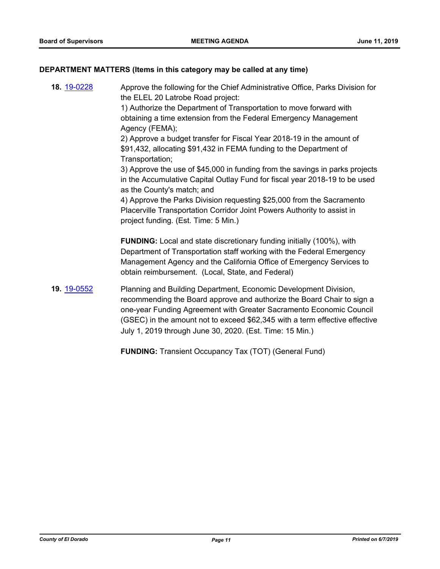#### **DEPARTMENT MATTERS (Items in this category may be called at any time)**

**18.** [19-0228](http://eldorado.legistar.com/gateway.aspx?m=l&id=/matter.aspx?key=25549) Approve the following for the Chief Administrative Office, Parks Division for the ELEL 20 Latrobe Road project: 1) Authorize the Department of Transportation to move forward with obtaining a time extension from the Federal Emergency Management Agency (FEMA); 2) Approve a budget transfer for Fiscal Year 2018-19 in the amount of \$91,432, allocating \$91,432 in FEMA funding to the Department of Transportation; 3) Approve the use of \$45,000 in funding from the savings in parks projects in the Accumulative Capital Outlay Fund for fiscal year 2018-19 to be used as the County's match; and 4) Approve the Parks Division requesting \$25,000 from the Sacramento Placerville Transportation Corridor Joint Powers Authority to assist in project funding. (Est. Time: 5 Min.) **FUNDING:** Local and state discretionary funding initially (100%), with Department of Transportation staff working with the Federal Emergency Management Agency and the California Office of Emergency Services to obtain reimbursement. (Local, State, and Federal) **19.** [19-0552](http://eldorado.legistar.com/gateway.aspx?m=l&id=/matter.aspx?key=25873) Planning and Building Department, Economic Development Division, recommending the Board approve and authorize the Board Chair to sign a one-year Funding Agreement with Greater Sacramento Economic Council (GSEC) in the amount not to exceed \$62,345 with a term effective effective July 1, 2019 through June 30, 2020. (Est. Time: 15 Min.)

**FUNDING:** Transient Occupancy Tax (TOT) (General Fund)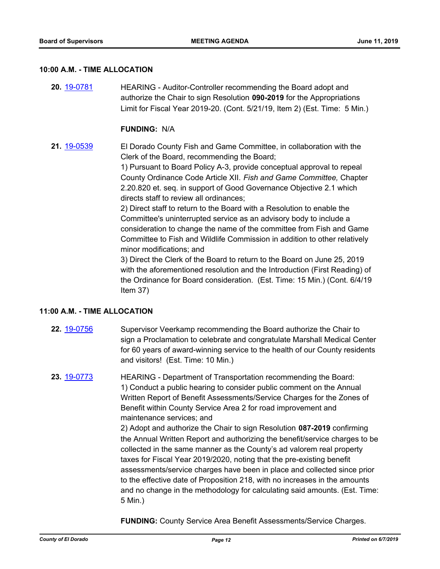#### **10:00 A.M. - TIME ALLOCATION**

**20.** [19-0781](http://eldorado.legistar.com/gateway.aspx?m=l&id=/matter.aspx?key=26103) HEARING - Auditor-Controller recommending the Board adopt and authorize the Chair to sign Resolution **090-2019** for the Appropriations Limit for Fiscal Year 2019-20. (Cont. 5/21/19, Item 2) (Est. Time: 5 Min.)

#### **FUNDING:** N/A

**21.** [19-0539](http://eldorado.legistar.com/gateway.aspx?m=l&id=/matter.aspx?key=25860) El Dorado County Fish and Game Committee, in collaboration with the Clerk of the Board, recommending the Board;

> 1) Pursuant to Board Policy A-3, provide conceptual approval to repeal County Ordinance Code Article XII. *Fish and Game Committee,* Chapter 2.20.820 et. seq. in support of Good Governance Objective 2.1 which directs staff to review all ordinances;

> 2) Direct staff to return to the Board with a Resolution to enable the Committee's uninterrupted service as an advisory body to include a consideration to change the name of the committee from Fish and Game Committee to Fish and Wildlife Commission in addition to other relatively minor modifications; and

3) Direct the Clerk of the Board to return to the Board on June 25, 2019 with the aforementioned resolution and the Introduction (First Reading) of the Ordinance for Board consideration. (Est. Time: 15 Min.) (Cont. 6/4/19 Item 37)

#### **11:00 A.M. - TIME ALLOCATION**

- **22.** [19-0756](http://eldorado.legistar.com/gateway.aspx?m=l&id=/matter.aspx?key=26078) Supervisor Veerkamp recommending the Board authorize the Chair to sign a Proclamation to celebrate and congratulate Marshall Medical Center for 60 years of award-winning service to the health of our County residents and visitors! (Est. Time: 10 Min.)
- **23.** [19-0773](http://eldorado.legistar.com/gateway.aspx?m=l&id=/matter.aspx?key=26095) HEARING Department of Transportation recommending the Board: 1) Conduct a public hearing to consider public comment on the Annual Written Report of Benefit Assessments/Service Charges for the Zones of Benefit within County Service Area 2 for road improvement and maintenance services; and

2) Adopt and authorize the Chair to sign Resolution **087-2019** confirming the Annual Written Report and authorizing the benefit/service charges to be collected in the same manner as the County's ad valorem real property taxes for Fiscal Year 2019/2020, noting that the pre-existing benefit assessments/service charges have been in place and collected since prior to the effective date of Proposition 218, with no increases in the amounts and no change in the methodology for calculating said amounts. (Est. Time: 5 Min.)

**FUNDING:** County Service Area Benefit Assessments/Service Charges.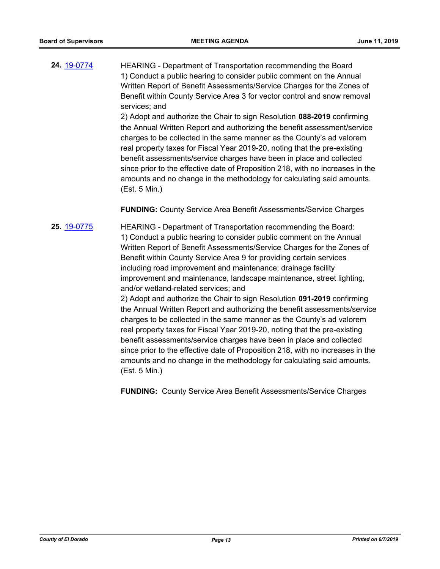**24.** [19-0774](http://eldorado.legistar.com/gateway.aspx?m=l&id=/matter.aspx?key=26096) HEARING - Department of Transportation recommending the Board 1) Conduct a public hearing to consider public comment on the Annual Written Report of Benefit Assessments/Service Charges for the Zones of Benefit within County Service Area 3 for vector control and snow removal services; and

> 2) Adopt and authorize the Chair to sign Resolution **088-2019** confirming the Annual Written Report and authorizing the benefit assessment/service charges to be collected in the same manner as the County's ad valorem real property taxes for Fiscal Year 2019-20, noting that the pre-existing benefit assessments/service charges have been in place and collected since prior to the effective date of Proposition 218, with no increases in the amounts and no change in the methodology for calculating said amounts. (Est. 5 Min.)

# **FUNDING:** County Service Area Benefit Assessments/Service Charges

**25.** [19-0775](http://eldorado.legistar.com/gateway.aspx?m=l&id=/matter.aspx?key=26097) HEARING - Department of Transportation recommending the Board: 1) Conduct a public hearing to consider public comment on the Annual Written Report of Benefit Assessments/Service Charges for the Zones of Benefit within County Service Area 9 for providing certain services including road improvement and maintenance; drainage facility improvement and maintenance, landscape maintenance, street lighting, and/or wetland-related services; and 2) Adopt and authorize the Chair to sign Resolution **091-2019** confirming the Annual Written Report and authorizing the benefit assessments/service charges to be collected in the same manner as the County's ad valorem real property taxes for Fiscal Year 2019-20, noting that the pre-existing benefit assessments/service charges have been in place and collected since prior to the effective date of Proposition 218, with no increases in the amounts and no change in the methodology for calculating said amounts. (Est. 5 Min.)

**FUNDING:** County Service Area Benefit Assessments/Service Charges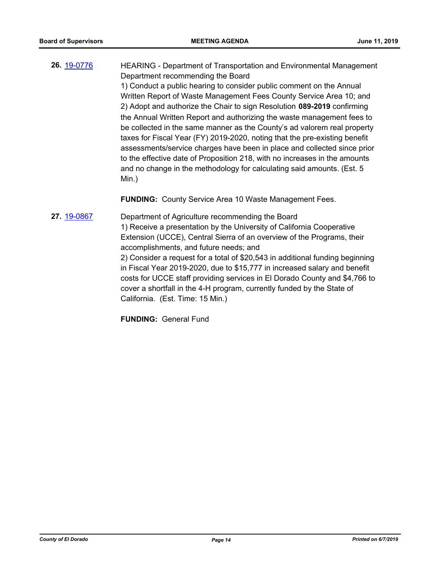**26.** [19-0776](http://eldorado.legistar.com/gateway.aspx?m=l&id=/matter.aspx?key=26098) HEARING - Department of Transportation and Environmental Management Department recommending the Board 1) Conduct a public hearing to consider public comment on the Annual Written Report of Waste Management Fees County Service Area 10; and 2) Adopt and authorize the Chair to sign Resolution **089-2019** confirming the Annual Written Report and authorizing the waste management fees to be collected in the same manner as the County's ad valorem real property taxes for Fiscal Year (FY) 2019-2020, noting that the pre-existing benefit assessments/service charges have been in place and collected since prior to the effective date of Proposition 218, with no increases in the amounts and no change in the methodology for calculating said amounts. (Est. 5 Min.)

**FUNDING:** County Service Area 10 Waste Management Fees.

**27.** [19-0867](http://eldorado.legistar.com/gateway.aspx?m=l&id=/matter.aspx?key=26190) Department of Agriculture recommending the Board 1) Receive a presentation by the University of California Cooperative Extension (UCCE), Central Sierra of an overview of the Programs, their accomplishments, and future needs; and 2) Consider a request for a total of \$20,543 in additional funding beginning in Fiscal Year 2019-2020, due to \$15,777 in increased salary and benefit costs for UCCE staff providing services in El Dorado County and \$4,766 to cover a shortfall in the 4-H program, currently funded by the State of California. (Est. Time: 15 Min.)

**FUNDING:** General Fund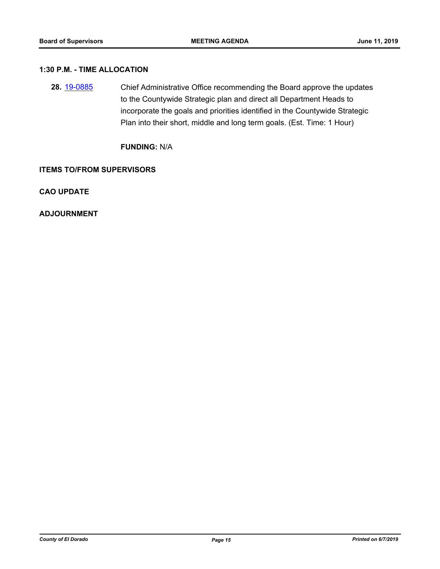# **1:30 P.M. - TIME ALLOCATION**

**28.** [19-0885](http://eldorado.legistar.com/gateway.aspx?m=l&id=/matter.aspx?key=26208) Chief Administrative Office recommending the Board approve the updates to the Countywide Strategic plan and direct all Department Heads to incorporate the goals and priorities identified in the Countywide Strategic Plan into their short, middle and long term goals. (Est. Time: 1 Hour)

**FUNDING:** N/A

#### **ITEMS TO/FROM SUPERVISORS**

**CAO UPDATE**

**ADJOURNMENT**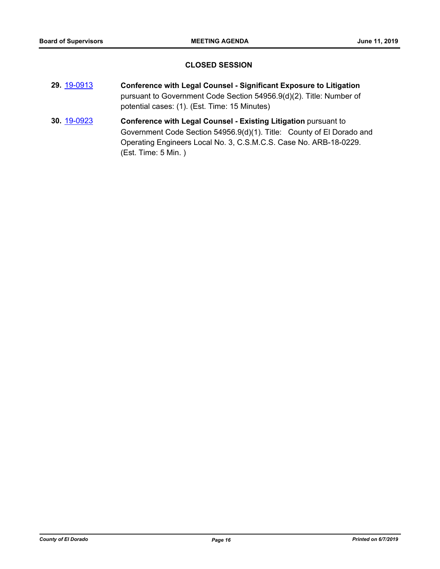## **CLOSED SESSION**

- **29.** [19-0913](http://eldorado.legistar.com/gateway.aspx?m=l&id=/matter.aspx?key=26236) **Conference with Legal Counsel Significant Exposure to Litigation** pursuant to Government Code Section 54956.9(d)(2). Title: Number of potential cases: (1). (Est. Time: 15 Minutes)
- **30.** [19-0923](http://eldorado.legistar.com/gateway.aspx?m=l&id=/matter.aspx?key=26246) **Conference with Legal Counsel - Existing Litigation** pursuant to Government Code Section 54956.9(d)(1). Title: County of El Dorado and Operating Engineers Local No. 3, C.S.M.C.S. Case No. ARB-18-0229. (Est. Time: 5 Min. )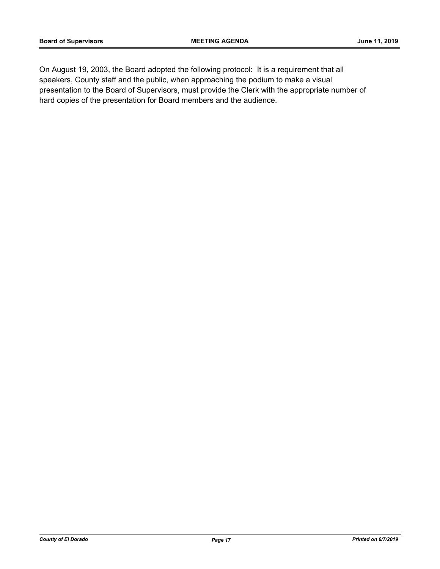On August 19, 2003, the Board adopted the following protocol: It is a requirement that all speakers, County staff and the public, when approaching the podium to make a visual presentation to the Board of Supervisors, must provide the Clerk with the appropriate number of hard copies of the presentation for Board members and the audience.